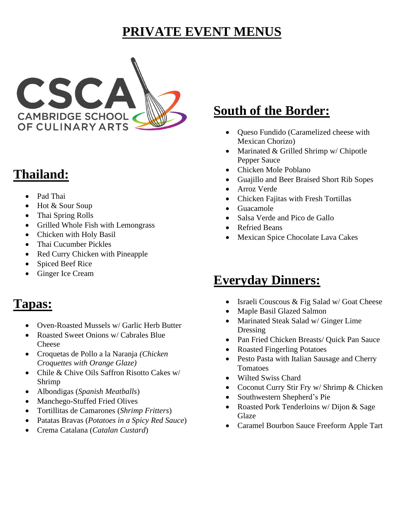## **PRIVATE EVENT MENUS**



# **Thailand:**

- Pad Thai
- Hot & Sour Soup
- Thai Spring Rolls
- Grilled Whole Fish with Lemongrass
- Chicken with Holy Basil
- Thai Cucumber Pickles
- Red Curry Chicken with Pineapple
- Spiced Beef Rice
- Ginger Ice Cream

### **Tapas:**

- Oven-Roasted Mussels w/ Garlic Herb Butter
- Roasted Sweet Onions w/ Cabrales Blue Cheese
- Croquetas de Pollo a la Naranja *(Chicken Croquettes with Orange Glaze)*
- Chile & Chive Oils Saffron Risotto Cakes w/ Shrimp
- Albondigas (*Spanish Meatballs*)
- Manchego-Stuffed Fried Olives
- Tortillitas de Camarones (*Shrimp Fritters*)
- Patatas Bravas (*Potatoes in a Spicy Red Sauce*)
- Crema Catalana (*Catalan Custard*)

# **South of the Border:**

- Queso Fundido (Caramelized cheese with Mexican Chorizo)
- Marinated & Grilled Shrimp w/ Chipotle Pepper Sauce
- Chicken Mole Poblano
- Guajillo and Beer Braised Short Rib Sopes
- Arroz Verde
- Chicken Fajitas with Fresh Tortillas
- Guacamole
- Salsa Verde and Pico de Gallo
- **Refried Beans**
- Mexican Spice Chocolate Lava Cakes

# **Everyday Dinners:**

- Israeli Couscous & Fig Salad w/ Goat Cheese
- Maple Basil Glazed Salmon
- Marinated Steak Salad w/ Ginger Lime Dressing
- Pan Fried Chicken Breasts/ Quick Pan Sauce
- Roasted Fingerling Potatoes
- Pesto Pasta with Italian Sausage and Cherry Tomatoes
- Wilted Swiss Chard
- Coconut Curry Stir Fry w/ Shrimp & Chicken
- Southwestern Shepherd's Pie
- Roasted Pork Tenderloins w/ Dijon & Sage Glaze
- Caramel Bourbon Sauce Freeform Apple Tart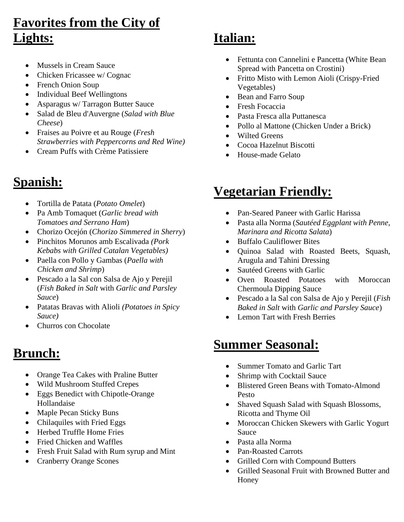# **Favorites from the City of Lights:**

- Mussels in Cream Sauce
- Chicken Fricassee w/ Cognac
- French Onion Soup
- Individual Beef Wellingtons
- Asparagus w/ Tarragon Butter Sauce
- Salad de Bleu d'Auvergne (*Salad with Blue Cheese*)
- Fraises au Poivre et au Rouge (*Fresh Strawberries with Peppercorns and Red Wine)*
- Cream Puffs with Crème Patissiere

# **Spanish:**

- Tortilla de Patata (*Potato Omelet*)
- Pa Amb Tomaquet (*Garlic bread with Tomatoes and Serrano Ham*)
- Chorizo Ocejón (*Chorizo Simmered in Sherry*)
- Pinchitos Morunos amb Escalivada *(Pork Kebabs with Grilled Catalan Vegetables)*
- Paella con Pollo y Gambas (*Paella with Chicken and Shrimp*)
- Pescado a la Sal con Salsa de Ajo y Perejil (*Fish Baked in Salt* with *Garlic and Parsley Sauce*)
- Patatas Bravas with Alioli *(Potatoes in Spicy Sauce)*
- Churros con Chocolate

### **Brunch:**

- Orange Tea Cakes with Praline Butter
- Wild Mushroom Stuffed Crepes
- Eggs Benedict with Chipotle-Orange Hollandaise
- Maple Pecan Sticky Buns
- Chilaquiles with Fried Eggs
- Herbed Truffle Home Fries
- Fried Chicken and Waffles
- Fresh Fruit Salad with Rum syrup and Mint
- Cranberry Orange Scones

# **Italian:**

- Fettunta con Cannelini e Pancetta (White Bean Spread with Pancetta on Crostini)
- Fritto Misto with Lemon Aioli (Crispy-Fried Vegetables)
- Bean and Farro Soup
- Fresh Focaccia
- Pasta Fresca alla Puttanesca
- Pollo al Mattone (Chicken Under a Brick)
- Wilted Greens
- Cocoa Hazelnut Biscotti
- House-made Gelato

## **Vegetarian Friendly:**

- Pan-Seared Paneer with Garlic Harissa
- Pasta alla Norma (*Sautéed Eggplant with Penne, Marinara and Ricotta Salata*)
- Buffalo Cauliflower Bites
- Quinoa Salad with Roasted Beets, Squash, Arugula and Tahini Dressing
- Sautéed Greens with Garlic
- Oven Roasted Potatoes with Moroccan Chermoula Dipping Sauce
- Pescado a la Sal con Salsa de Ajo y Perejil (*Fish Baked in Salt* with *Garlic and Parsley Sauce*)
- Lemon Tart with Fresh Berries

# **Summer Seasonal:**

- Summer Tomato and Garlic Tart
- Shrimp with Cocktail Sauce
- Blistered Green Beans with Tomato-Almond Pesto
- Shaved Squash Salad with Squash Blossoms, Ricotta and Thyme Oil
- Moroccan Chicken Skewers with Garlic Yogurt Sauce
- Pasta alla Norma
- Pan-Roasted Carrots
- Grilled Corn with Compound Butters
- Grilled Seasonal Fruit with Browned Butter and Honey